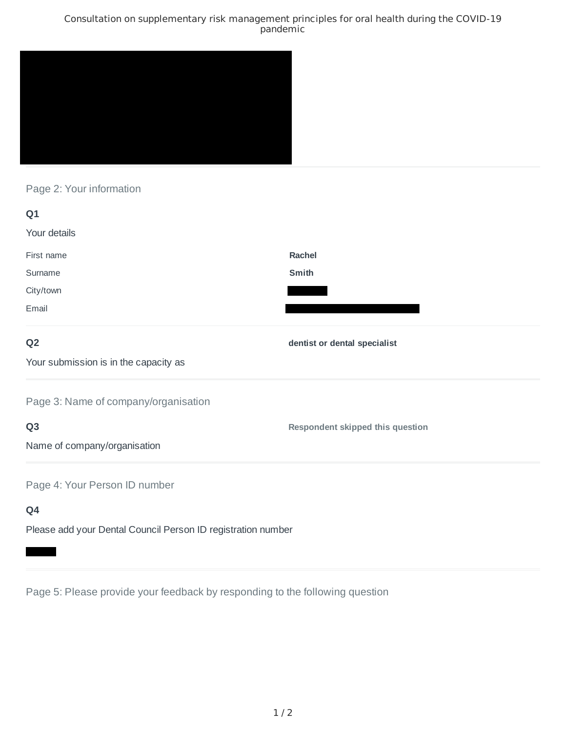## Consultation on supplementary risk management principles for oral health during the COVID-19 pandemic



Page 2: Your information

| Q1                                    |                                         |
|---------------------------------------|-----------------------------------------|
| Your details                          |                                         |
| First name                            | Rachel                                  |
| Surname                               | Smith                                   |
| City/town                             |                                         |
| Email                                 |                                         |
| Q <sub>2</sub>                        | dentist or dental specialist            |
| Your submission is in the capacity as |                                         |
| Page 3: Name of company/organisation  |                                         |
| Q <sub>3</sub>                        | <b>Respondent skipped this question</b> |
| Name of company/organisation          |                                         |
| Page 4: Your Person ID number         |                                         |
| Q4                                    |                                         |

Please add your Dental Council Person ID registration number

Page 5: Please provide your feedback by responding to the following question